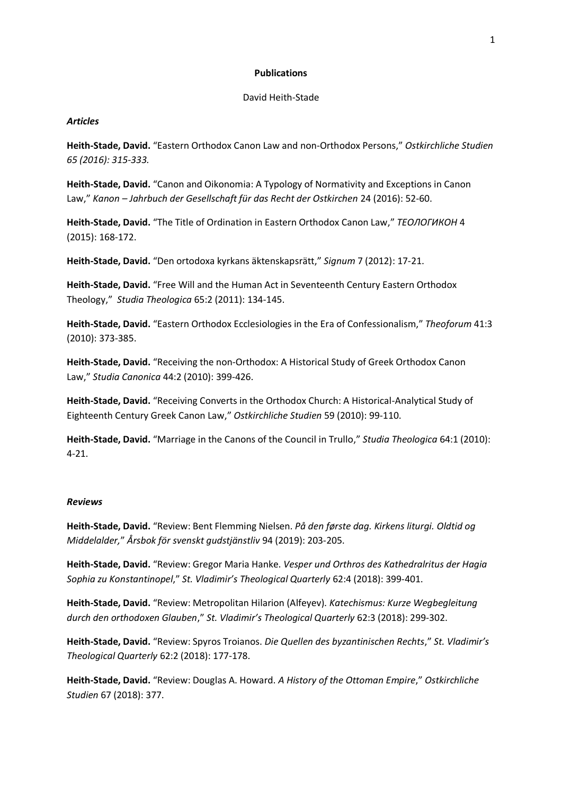## **Publications**

## David Heith-Stade

# *Articles*

**Heith-Stade, David.** "Eastern Orthodox Canon Law and non-Orthodox Persons," *Ostkirchliche Studien 65 (2016): 315-333.*

**Heith-Stade, David.** "Canon and Oikonomia: A Typology of Normativity and Exceptions in Canon Law," *Kanon – Jahrbuch der Gesellschaft für das Recht der Ostkirchen* 24 (2016): 52-60.

**Heith-Stade, David.** "The Title of Ordination in Eastern Orthodox Canon Law," *ТЕОЛОГИКОН* 4 (2015): 168-172.

**Heith-Stade, David.** "Den ortodoxa kyrkans äktenskapsrätt," *Signum* [7 \(2012\):](http://www.qiozk.com/paper/signum/7---2012) 17-21.

**Heith-Stade, David.** ["Free Will and the Human Act in Seventeenth Century Eastern Orthodox](http://dx.doi.org/10.1080/0039338X.2011.628125)  [Theology,](http://dx.doi.org/10.1080/0039338X.2011.628125)" *Studia Theologica* 65:2 (2011): 134-145.

**Heith-Stade, David.** "Eastern Orthodox Ecclesiologies in the Era of Confessionalism," *Theoforum* 41:3 (2010): 373-385.

**Heith-Stade, David.** "Receiving the non[-Orthodox: A Historical Study of Greek Orthodox](https://lup.lub.lu.se/luur/download?func=downloadFile&recordOId=1774918&fileOId=2373289) Canon [Law,](https://lup.lub.lu.se/luur/download?func=downloadFile&recordOId=1774918&fileOId=2373289)" *Studia Canonica* 44:2 (2010): 399-426.

**Heith-Stade, David.** "Receiving Converts in the Orthodox Church: A Historical-Analytical Study of Eighteenth Century Greek Canon Law," *Ostkirchliche Studien* 59 (2010): 99-110.

**Heith-Stade, David.** ["Marriage in the Canons of the Council in Trullo](http://www.tandfonline.com/doi/abs/10.1080/0039338X.2010.481858)," *Studia Theologica* 64:1 (2010): 4-21.

#### *Reviews*

**Heith-Stade, David.** "Review: Bent Flemming Nielsen. *På den første dag. Kirkens liturgi. Oldtid og Middelalder,*" *Årsbok för svenskt gudstjänstliv* 94 (2019): 203-205.

**Heith-Stade, David.** "Review: Gregor Maria Hanke. *Vesper und Orthros des Kathedralritus der Hagia Sophia zu Konstantinopel*," *St. Vladimir's Theological Quarterly* 62:4 (2018): 399-401.

**Heith-Stade, David.** "Review: Metropolitan Hilarion (Alfeyev). *Katechismus: Kurze Wegbegleitung durch den orthodoxen Glauben*," *St. Vladimir's Theological Quarterly* 62:3 (2018): 299-302.

**Heith-Stade, David.** "Review: Spyros Troianos. *Die Quellen des byzantinischen Rechts*," *St. Vladimir's Theological Quarterly* 62:2 (2018): 177-178.

**Heith-Stade, David.** "Review: Douglas A. Howard. *A History of the Ottoman Empire*," *Ostkirchliche Studien* 67 (2018): 377.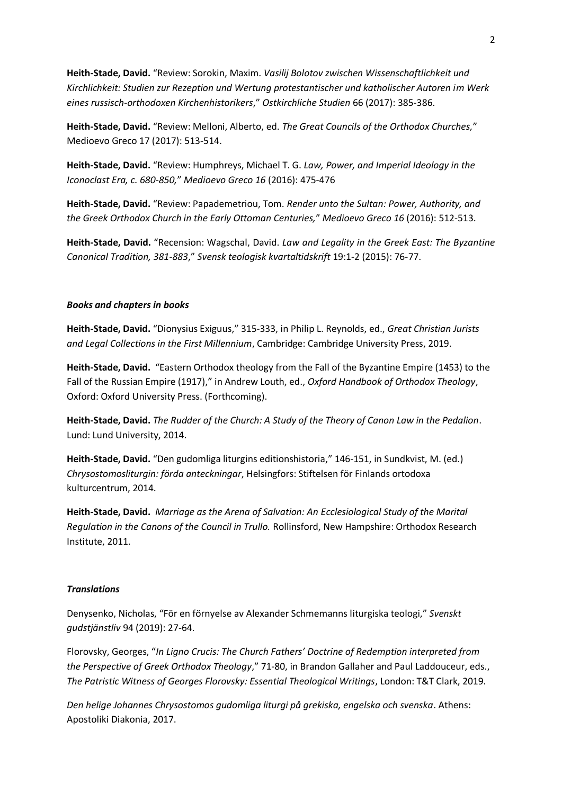**Heith-Stade, David.** "Review: Sorokin, Maxim. *Vasilij Bolotov zwischen Wissenschaftlichkeit und Kirchlichkeit: Studien zur Rezeption und Wertung protestantischer und katholischer Autoren im Werk eines russisch-orthodoxen Kirchenhistorikers*," *Ostkirchliche Studien* 66 (2017): 385-386.

**Heith-Stade, David.** "Review: Melloni, Alberto, ed. *The Great Councils of the Orthodox Churches,*" Medioevo Greco 17 (2017): 513-514.

**Heith-Stade, David.** "Review: Humphreys, Michael T. G. *Law, Power, and Imperial Ideology in the Iconoclast Era, c. 680-850,*" *Medioevo Greco 16* (2016): 475-476

**Heith-Stade, David.** "Review: Papademetriou, Tom. *Render unto the Sultan: Power, Authority, and the Greek Orthodox Church in the Early Ottoman Centuries,*" *Medioevo Greco 16* (2016): 512-513.

**Heith-Stade, David.** "Recension: Wagschal, David. *Law and Legality in the Greek East: The Byzantine Canonical Tradition, 381-883*," *Svensk teologisk kvartaltidskrift* 19:1-2 (2015): 76-77.

# *Books and chapters in books*

**Heith-Stade, David.** "Dionysius Exiguus," 315-333, in Philip L. Reynolds, ed., *Great Christian Jurists and Legal Collections in the First Millennium*, Cambridge: Cambridge University Press, 2019.

**Heith-Stade, David.** "Eastern Orthodox theology from the Fall of the Byzantine Empire (1453) to the Fall of the Russian Empire (1917)," in Andrew Louth, ed., *Oxford Handbook of Orthodox Theology*, Oxford: Oxford University Press. (Forthcoming).

**Heith-Stade, David.** *The Rudder of the Church: A Study of the Theory of Canon Law in the Pedalion*. Lund: Lund University, 2014.

**Heith-Stade, David.** "Den gudomliga liturgins editionshistoria," 146-151, in Sundkvist, M. (ed.) *Chrysostomosliturgin: förda anteckningar*, Helsingfors: Stiftelsen för Finlands ortodoxa kulturcentrum, 2014.

**Heith-Stade, David.** *[Marriage as the Arena of Salvation: An Ecclesiological Study of the Marital](http://amzn.com/1933275553)  [Regulation in the Canons of the Council in Trullo.](http://amzn.com/1933275553)* Rollinsford, New Hampshire: Orthodox Research Institute, 2011.

# *Translations*

Denysenko, Nicholas, "För en förnyelse av Alexander Schmemanns liturgiska teologi," *Svenskt gudstjänstliv* 94 (2019): 27-64.

Florovsky, Georges, "*In Ligno Crucis: The Church Fathers' Doctrine of Redemption interpreted from the Perspective of Greek Orthodox Theology*," 71-80, in Brandon Gallaher and Paul Laddouceur, eds., *The Patristic Witness of Georges Florovsky: Essential Theological Writings*, London: T&T Clark, 2019.

*Den helige Johannes Chrysostomos gudomliga liturgi på grekiska, engelska och svenska*. Athens: Apostoliki Diakonia, 2017.